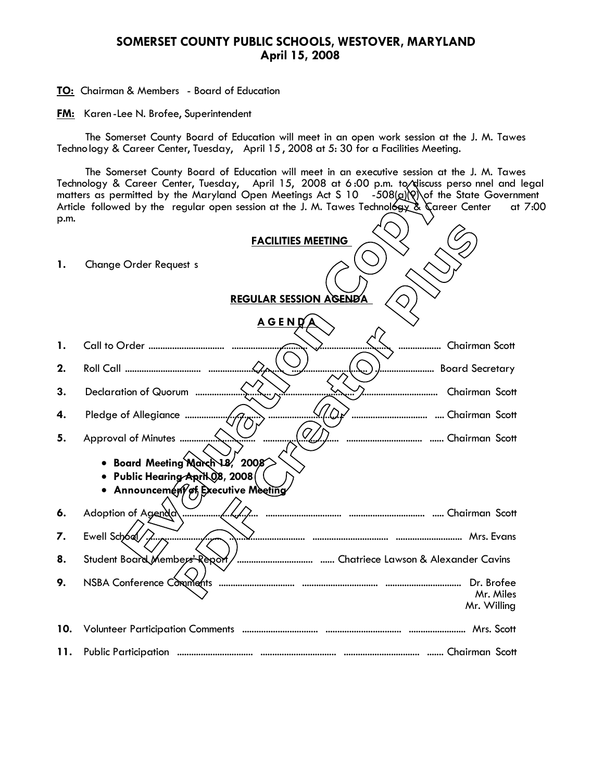## **SOMERSET COUNTY PUBLIC SCHOOLS, WESTOVER, MARYLAND April 15, 2008**

**TO:** Chairman & Members - Board of Education

**FM:** Karen -Lee N. Brofee, Superintendent

The Somerset County Board of Education will meet in an open work session at the J. M. Tawes Technology & Career Center, Tuesday, April 15 , 2008 at 5: 30 for a Facilities Meeting.

The Somerset County Board of Education will meet in an executive session at the J. M. Tawes Technology & Career Center, Tuesday, April 15, 2008 at 6:00 p.m. to/discuss perso nnel and legal matters as permitted by the Maryland Open Meetings Act S 10  $-508(a)$ Q) of the State Government Article followed by the regular open session at the J. M. Tawes Technology & Career Center at 7:00 p.m.  $\sqrt{2}$ 

|     | <b>FACILITIES MEETING</b>                                                                                       |
|-----|-----------------------------------------------------------------------------------------------------------------|
| 1.  | <b>Change Order Request s</b>                                                                                   |
|     | <b>REGULAR SESSION AGENDA</b>                                                                                   |
|     | <u>AGEND</u>                                                                                                    |
| 1.  | Chairman Scott                                                                                                  |
| 2.  | Board Secretary                                                                                                 |
| 3.  | Chairman Scott<br>                                                                                              |
| 4.  |                                                                                                                 |
| 5.  | Q'                                                                                                              |
|     | Board Meeting March 18, 2008<br>Public Hearing April 08, 2008<br>Announcement of Executive Meeting<br>$\bullet$ |
| 6.  | Adoption of Agenda<br>. <i></i>                                                                                 |
| 7.  | Ewell School                                                                                                    |
| 8.  | Student Board Members' Report                                                                                   |
| 9.  | Dr. Brofee<br>Mr. Miles<br>Mr. Willing                                                                          |
| 10. |                                                                                                                 |
| 11. |                                                                                                                 |